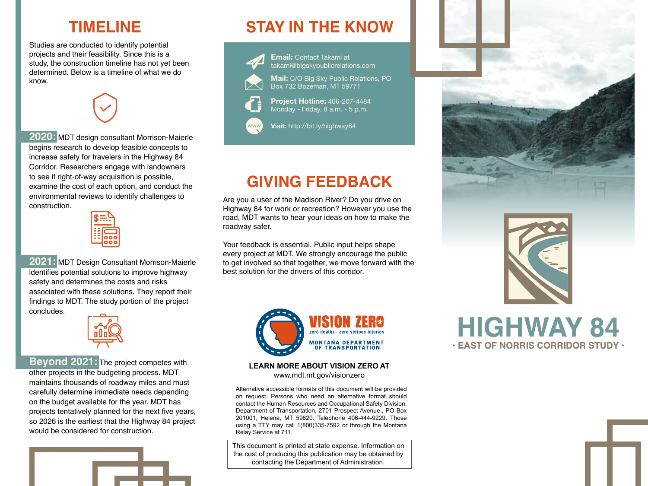### **TIMELINE**

Studies are conducted to identify potential projects and their feasibility. Since this is a study, the construction timeline has not yet been determined. Below is a timeline of what we do know.

**2020:** MDT design consultant Morrison-Maierle begins research to develop feasible concepts to increase safety for travelers in the Highway 84 Corridor. Researchers engage with landowners to see if right-of-way acquisition is possible, examine the cost of each option, and conduct the environmental reviews to identify challenges to construction.



**2021:** MDT Design Consultant Morrison-Maierle identifies potential solutions to improve highway safety and determines the costs and risks associated with these solutions. They report their findings to MDT. The study portion of the project concludes.



**Beyond 2021:** The project competes with other projects in the budgeting process. MDT maintains thousands of roadway miles and must carefully determine immediate needs depending on the budget available for the year. MDT has projects tentatively planned for the next five years, so 2026 is the earliest that the Highway 84 project would be considered for construction.



# **STAY IN THE KNOW**



www

**Email:** Contact Takami at takami@bigskypublicrelations.com

**Mail:** C/O Big Sky Public Relations, PO Box 732 Bozeman, MT 59771

**Project Hotline:** 406-207-4484 Monday - Friday, 8 a.m. - 5 p.m.

**Visit:** http://bit.ly/highway84

# **GIVING FEEDBACK**

Are you a user of the Madison River? Do you drive on Highway 84 for work or recreation? However you use the road, MDT wants to hear your ideas on how to make the roadway safer.

Your feedback is essential. Public input helps shape every project at MDT. We strongly encourage the public to get involved so that together, we move forward with the best solution for the drivers of this corridor.



#### **LEARN MORE ABOUT VISION ZERO AT** www.mdt.mt.gov/visionzero

Alternative accessible formats of this document will be provided on request. Persons who need an alternative format should contact the Human Resources and Occupational Safety Division, Department of Transportation, 2701 Prospect Avenue., PO Box 201001, Helena, MT 59620. Telephone 406-444-9229. Those using a TTY may call 1(800)335-7592 or through the Montana Relay Service at 711.

This document is printed at state expense. Information on the cost of producing this publication may be obtained by contacting the Department of Administration.





**HIGHWAY 84 . EAST OF NORRIS CORRIDOR STUDY .**